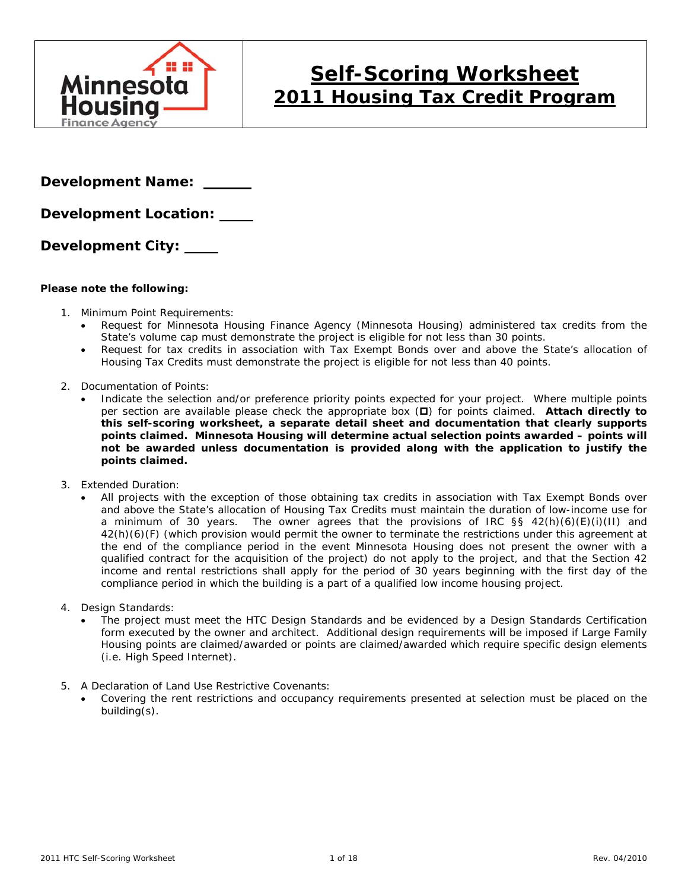

# **Self-Scoring Worksheet 2011 Housing Tax Credit Program**

**Development Name:** 

**Development Location:** 

**Development City:** 

#### **Please note the following:**

- 1. Minimum Point Requirements:
	- Request for Minnesota Housing Finance Agency (Minnesota Housing) administered tax credits from the State's volume cap must demonstrate the project is eligible for not less than 30 points.
	- Request for tax credits in association with Tax Exempt Bonds over and above the State's allocation of Housing Tax Credits must demonstrate the project is eligible for not less than 40 points.
- 2. Documentation of Points:
	- Indicate the selection and/or preference priority points expected for your project. Where multiple points per section are available please check the appropriate box (D) for points claimed. Attach directly to **this self-scoring worksheet, a separate detail sheet and documentation that clearly supports points claimed. Minnesota Housing will determine actual selection points awarded – points will not be awarded unless documentation is provided along with the application to justify the points claimed.**
- 3. Extended Duration:
	- All projects with the exception of those obtaining tax credits in association with Tax Exempt Bonds over and above the State's allocation of Housing Tax Credits must maintain the duration of low-income use for a minimum of 30 years. The owner agrees that the provisions of IRC §§ 42(h)(6)(E)(i)(II) and 42(h)(6)(F) (which provision would permit the owner to terminate the restrictions under this agreement at the end of the compliance period in the event Minnesota Housing does not present the owner with a qualified contract for the acquisition of the project) do not apply to the project, and that the Section 42 income and rental restrictions shall apply for the period of 30 years beginning with the first day of the compliance period in which the building is a part of a qualified low income housing project.
- 4. Design Standards:
	- The project must meet the HTC Design Standards and be evidenced by a Design Standards Certification form executed by the owner and architect. Additional design requirements will be imposed if Large Family Housing points are claimed/awarded or points are claimed/awarded which require specific design elements (i.e. High Speed Internet).
- 5. A Declaration of Land Use Restrictive Covenants:
	- Covering the rent restrictions and occupancy requirements presented at selection must be placed on the building(s).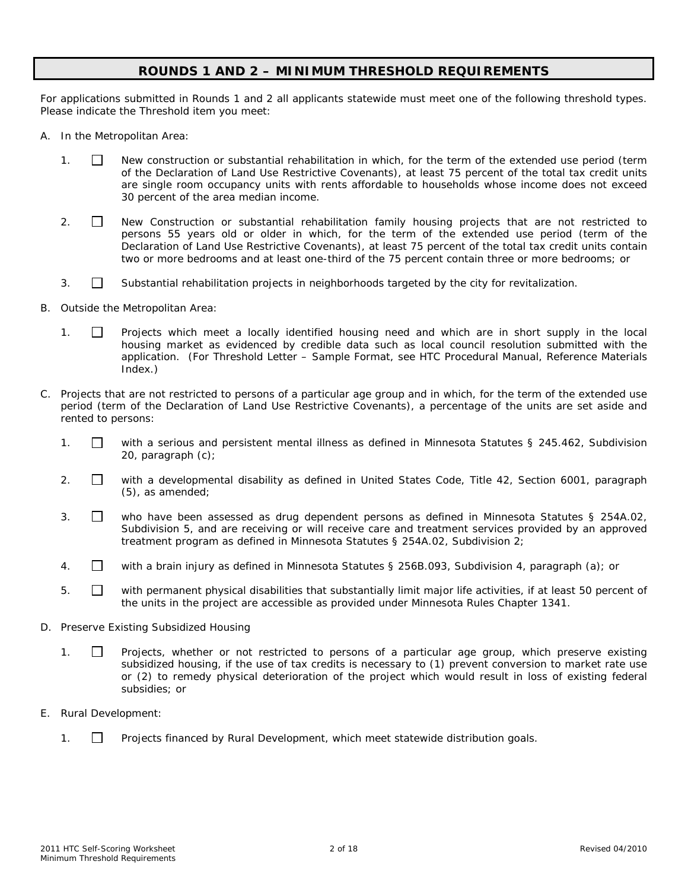### **ROUNDS 1 AND 2 – MINIMUM THRESHOLD REQUIREMENTS**

For applications submitted in Rounds 1 and 2 all applicants statewide must meet one of the following threshold types. Please indicate the Threshold item you meet:

- A. In the Metropolitan Area:
	- 1. New construction or substantial rehabilitation in which, for the term of the extended use period (term of the Declaration of Land Use Restrictive Covenants), at least 75 percent of the total tax credit units are single room occupancy units with rents affordable to households whose income does not exceed 30 percent of the area median income.
	- 2.  $\Box$  New Construction or substantial rehabilitation family housing projects that are not restricted to persons 55 years old or older in which, for the term of the extended use period (term of the Declaration of Land Use Restrictive Covenants), at least 75 percent of the total tax credit units contain two or more bedrooms and at least one-third of the 75 percent contain three or more bedrooms; or
	- 3.  $\Box$  Substantial rehabilitation projects in neighborhoods targeted by the city for revitalization.
- B. Outside the Metropolitan Area:
	- 1.  $\Box$  Projects which meet a locally identified housing need and which are in short supply in the local housing market as evidenced by credible data such as local council resolution submitted with the application. (For Threshold Letter – Sample Format, see HTC Procedural Manual, Reference Materials Index.)
- C. Projects that are not restricted to persons of a particular age group and in which, for the term of the extended use period (term of the Declaration of Land Use Restrictive Covenants), a percentage of the units are set aside and rented to persons:
	- 1.  $\Box$  with a serious and persistent mental illness as defined in Minnesota Statutes § 245.462, Subdivision 20, paragraph (c);
	- 2.  $\Box$  with a developmental disability as defined in United States Code, Title 42, Section 6001, paragraph (5), as amended;
	- 3. who have been assessed as drug dependent persons as defined in Minnesota Statutes § 254A.02, Subdivision 5, and are receiving or will receive care and treatment services provided by an approved treatment program as defined in Minnesota Statutes § 254A.02, Subdivision 2;
	- 4. with a brain injury as defined in Minnesota Statutes § 256B.093, Subdivision 4, paragraph (a); or
	- 5.  $\Box$  with permanent physical disabilities that substantially limit major life activities, if at least 50 percent of the units in the project are accessible as provided under Minnesota Rules Chapter 1341.
- D. Preserve Existing Subsidized Housing
	- 1. **I** Projects, whether or not restricted to persons of a particular age group, which preserve existing subsidized housing, if the use of tax credits is necessary to (1) prevent conversion to market rate use or (2) to remedy physical deterioration of the project which would result in loss of existing federal subsidies; or
- E. Rural Development:
	- 1. Projects financed by Rural Development, which meet statewide distribution goals.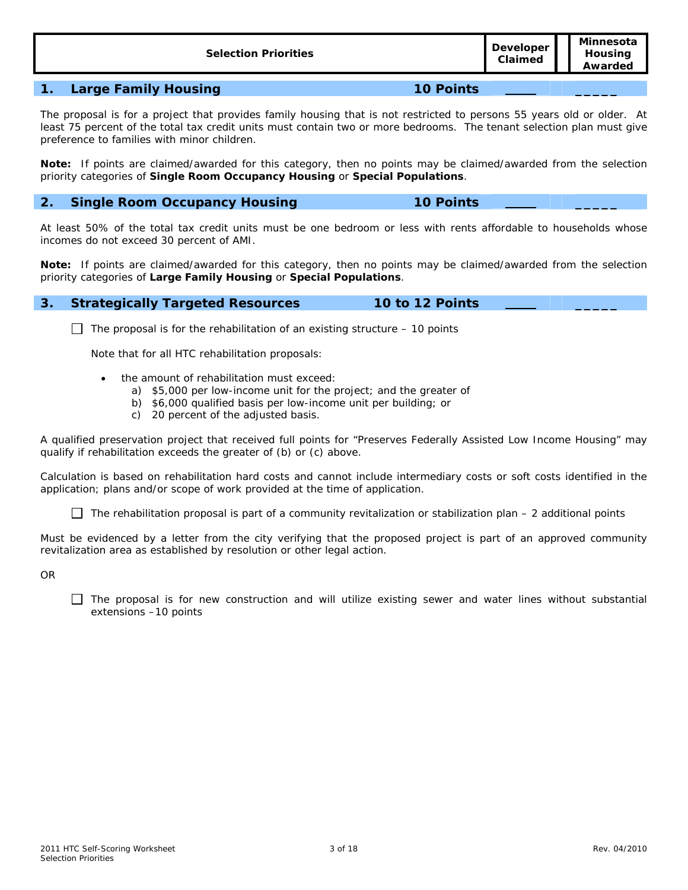| <b>Selection Priorities</b> | Developer<br>Claimed | Minnesota<br>Housing<br>Awarded |
|-----------------------------|----------------------|---------------------------------|
|                             |                      |                                 |

#### **1. Large Family Housing 10 Points \_\_\_\_\_**

The proposal is for a project that provides family housing that is not restricted to persons 55 years old or older. At least 75 percent of the total tax credit units must contain two or more bedrooms. The tenant selection plan must give preference to families with minor children.

**Note:** If points are claimed/awarded for this category, then no points may be claimed/awarded from the selection priority categories of **Single Room Occupancy Housing** or **Special Populations**.

### **2. Single Room Occupancy Housing 10 Points \_\_\_\_\_**

At least 50% of the total tax credit units must be one bedroom or less with rents affordable to households whose incomes do not exceed 30 percent of AMI.

**Note:** If points are claimed/awarded for this category, then no points may be claimed/awarded from the selection priority categories of **Large Family Housing** or **Special Populations**.

#### **3. Strategically Targeted Resources 10 to 12 Points \_\_\_\_\_**

The proposal is for the rehabilitation of an existing structure – *10 points*

Note that for all HTC rehabilitation proposals:

- the amount of rehabilitation must exceed:
	- a) \$5,000 per low-income unit for the project; and the greater of
	- b) \$6,000 qualified basis per low-income unit per building; or
	- c) 20 percent of the adjusted basis.

A qualified preservation project that received full points for "Preserves Federally Assisted Low Income Housing" may qualify if rehabilitation exceeds the greater of (b) or (c) above.

Calculation is based on rehabilitation hard costs and cannot include intermediary costs or soft costs identified in the application; plans and/or scope of work provided at the time of application.

The rehabilitation proposal is part of a community revitalization or stabilization plan – *2 additional points*

Must be evidenced by a letter from the city verifying that the proposed project is part of an approved community revitalization area as established by resolution or other legal action.

OR

 $\Box$  The proposal is for new construction and will utilize existing sewer and water lines without substantial extensions –*10 points*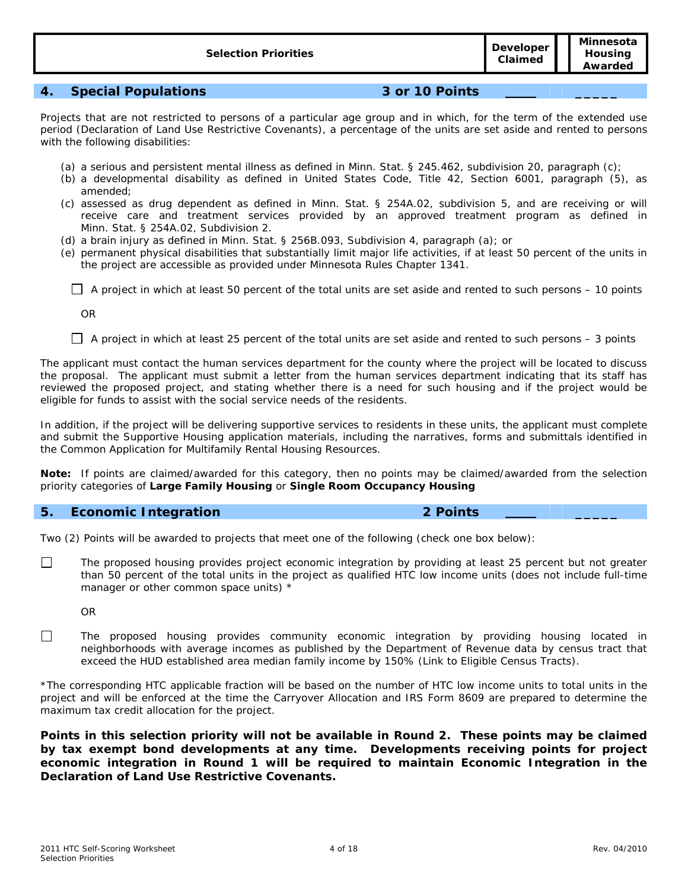**Claimed** 

# **4. Special Populations 3 or 10 Points \_\_\_\_\_**

Projects that are not restricted to persons of a particular age group and in which, for the term of the extended use period (Declaration of Land Use Restrictive Covenants), a percentage of the units are set aside and rented to persons with the following disabilities:

- (a) a serious and persistent mental illness as defined in Minn. Stat. § 245.462, subdivision 20, paragraph (c);
- (b) a developmental disability as defined in United States Code, Title 42, Section 6001, paragraph (5), as amended;
- (c) assessed as drug dependent as defined in Minn. Stat. § 254A.02, subdivision 5, and are receiving or will receive care and treatment services provided by an approved treatment program as defined in Minn. Stat. § 254A.02, Subdivision 2.
- (d) a brain injury as defined in Minn. Stat. § 256B.093, Subdivision 4, paragraph (a); or
- (e) permanent physical disabilities that substantially limit major life activities, if at least 50 percent of the units in the project are accessible as provided under Minnesota Rules Chapter 1341.

A project in which at least 50 percent of the total units are set aside and rented to such persons – *10 points*

OR

A project in which at least 25 percent of the total units are set aside and rented to such persons – *3 points*

The applicant must contact the human services department for the county where the project will be located to discuss the proposal. The applicant must submit a letter from the human services department indicating that its staff has reviewed the proposed project, and stating whether there is a need for such housing and if the project would be eligible for funds to assist with the social service needs of the residents.

In addition, if the project will be delivering supportive services to residents in these units, the applicant must complete and submit the Supportive Housing application materials, including the narratives, forms and submittals identified in the Common Application for Multifamily Rental Housing Resources.

**Note:** If points are claimed/awarded for this category, then no points may be claimed/awarded from the selection priority categories of **Large Family Housing** or **Single Room Occupancy Housing**

### **5. Economic Integration 2 Points \_\_\_\_\_**

#### Two (2) Points will be awarded to projects that meet one of the following (check one box below):

 $\Box$  The proposed housing provides project economic integration by providing at least 25 percent but not greater than 50 percent of the total units in the project as qualified HTC low income units (does not include full-time manager or other common space units) \*

OR

The proposed housing provides community economic integration by providing housing located in neighborhoods with average incomes as published by the Department of Revenue data by census tract that exceed the HUD established area median family income by 150% (Link to Eligible Census Tracts).

\*The corresponding HTC applicable fraction will be based on the number of HTC low income units to total units in the project and will be enforced at the time the Carryover Allocation and IRS Form 8609 are prepared to determine the maximum tax credit allocation for the project.

**Points in this selection priority will not be available in Round 2. These points may be claimed by tax exempt bond developments at any time. Developments receiving points for project economic integration in Round 1 will be required to maintain Economic Integration in the Declaration of Land Use Restrictive Covenants.**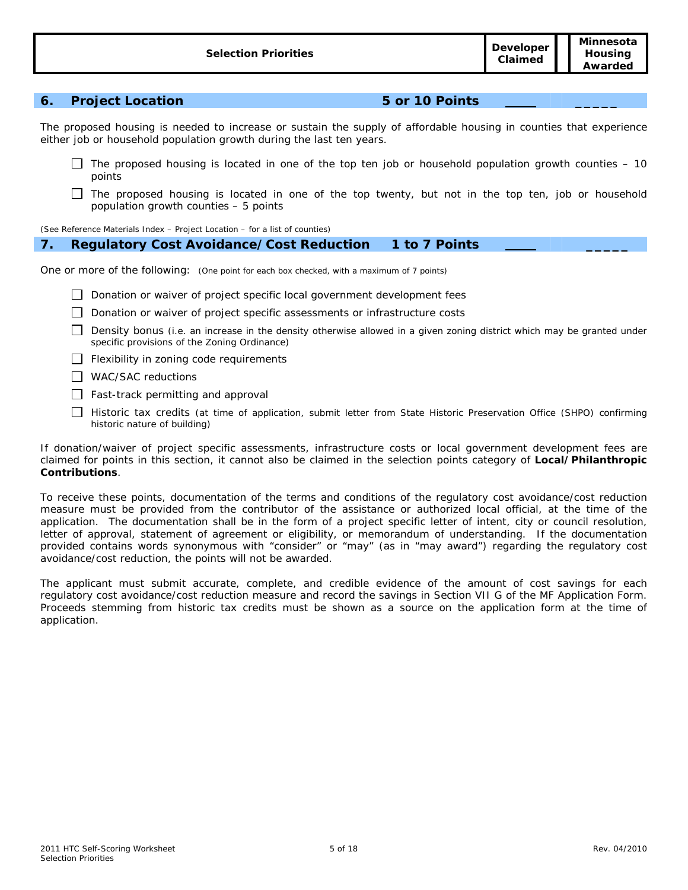# **6. Project Location 5 or 10 Points \_\_\_\_\_**

The proposed housing is needed to increase or sustain the supply of affordable housing in counties that experience either job or household population growth during the last ten years.

- The proposed housing is located in one of the top ten job or household population growth counties  $-10$ *points*
- $\Box$  The proposed housing is located in one of the top twenty, but not in the top ten, job or household population growth counties – *5 points*

(See Reference Materials Index – Project Location – for a list of counties)

#### **7. Regulatory Cost Avoidance/Cost Reduction 1 to 7 Points \_\_\_\_\_**

One or more of the following: (One point for each box checked, with a maximum of 7 points)

- Donation or waiver of project specific local government development fees
- Donation or waiver of project specific assessments or infrastructure costs
- $\Box$  Density bonus (i.e. an increase in the density otherwise allowed in a given zoning district which may be granted under specific provisions of the Zoning Ordinance)
- $\Box$  Flexibility in zoning code requirements
- WAC/SAC reductions
- $\Box$  Fast-track permitting and approval
- Historic tax credits (at time of application, submit letter from State Historic Preservation Office (SHPO) confirming historic nature of building)

If donation/waiver of project specific assessments, infrastructure costs or local government development fees are claimed for points in this section, it cannot also be claimed in the selection points category of **Local/Philanthropic Contributions**.

To receive these points, documentation of the terms and conditions of the regulatory cost avoidance/cost reduction measure must be provided from the contributor of the assistance or authorized local official, at the time of the application. The documentation shall be in the form of a project specific letter of intent, city or council resolution, letter of approval, statement of agreement or eligibility, or memorandum of understanding. If the documentation provided contains words synonymous with "consider" or "may" (as in "may award") regarding the regulatory cost avoidance/cost reduction, the points will not be awarded.

The applicant must submit accurate, complete, and credible evidence of the amount of cost savings for each regulatory cost avoidance/cost reduction measure and record the savings in Section VII G of the MF Application Form. Proceeds stemming from historic tax credits must be shown as a source on the application form at the time of application.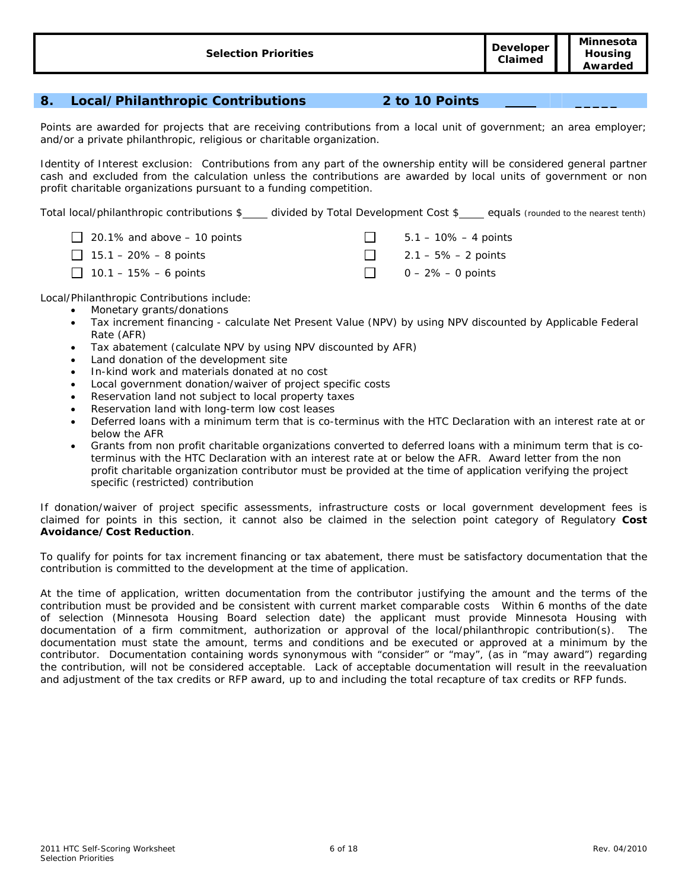# **8. Local/Philanthropic Contributions 2 to 10 Points \_\_\_\_\_**

Points are awarded for projects that are receiving contributions from a local unit of government; an area employer; and/or a private philanthropic, religious or charitable organization.

Identity of Interest exclusion: Contributions from any part of the ownership entity will be considered general partner cash and excluded from the calculation unless the contributions are awarded by local units of government or non profit charitable organizations pursuant to a funding competition.

Total local/philanthropic contributions \$ divided by Total Development Cost \$ equals (rounded to the nearest tenth)

| 20.1% and above $-10$ points | $5.1 - 10\% - 4$ points |
|------------------------------|-------------------------|
| $\Box$ 15.1 – 20% – 8 points | 2.1 – 5% – 2 points     |
| 10.1 – 15% – 6 points        | $0 - 2\% - 0$ points    |

Local/Philanthropic Contributions include:

- Monetary grants/donations
	- Tax increment financing calculate Net Present Value (NPV) by using NPV discounted by Applicable Federal Rate (AFR)
	- Tax abatement (calculate NPV by using NPV discounted by AFR)
	- Land donation of the development site
	- In-kind work and materials donated at no cost
	- Local government donation/waiver of project specific costs
	- Reservation land not subject to local property taxes
	- Reservation land with long-term low cost leases
- Deferred loans with a minimum term that is co-terminus with the HTC Declaration with an interest rate at or below the AFR
- Grants from non profit charitable organizations converted to deferred loans with a minimum term that is coterminus with the HTC Declaration with an interest rate at or below the AFR. Award letter from the non profit charitable organization contributor must be provided at the time of application verifying the project specific (restricted) contribution

If donation/waiver of project specific assessments, infrastructure costs or local government development fees is claimed for points in this section, it cannot also be claimed in the selection point category of Regulatory **Cost Avoidance/Cost Reduction**.

To qualify for points for tax increment financing or tax abatement, there must be satisfactory documentation that the contribution is committed to the development at the time of application.

At the time of application, written documentation from the contributor justifying the amount and the terms of the contribution must be provided and be consistent with current market comparable costs Within 6 months of the date of selection (Minnesota Housing Board selection date) the applicant must provide Minnesota Housing with documentation of a firm commitment, authorization or approval of the local/philanthropic contribution(s). The documentation must state the amount, terms and conditions and be executed or approved at a minimum by the contributor. Documentation containing words synonymous with "consider" or "may", (as in "may award") regarding the contribution, will not be considered acceptable. Lack of acceptable documentation will result in the reevaluation and adjustment of the tax credits or RFP award, up to and including the total recapture of tax credits or RFP funds.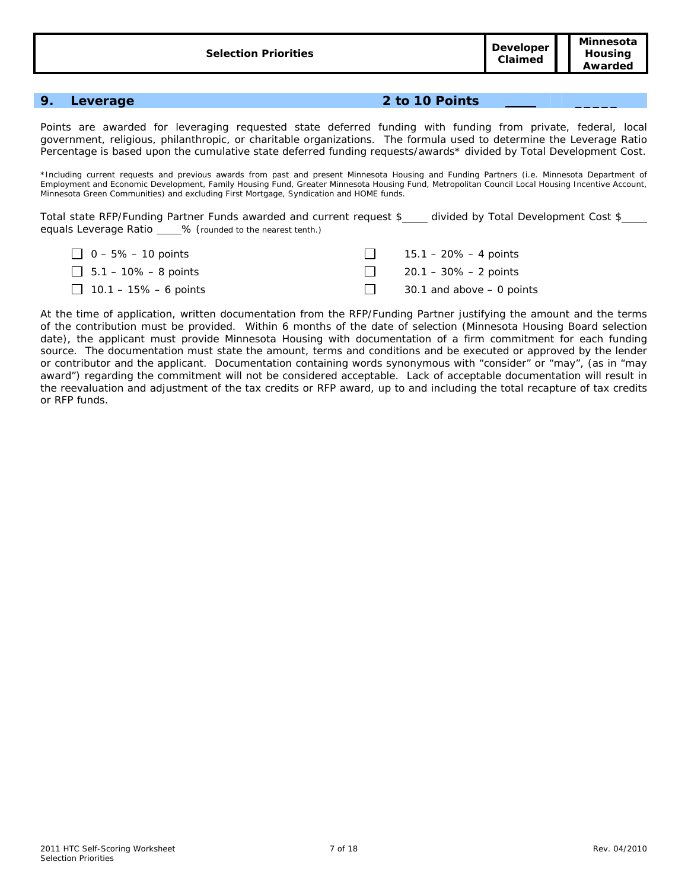#### **9. Leverage 2 to 10 Points \_\_\_\_\_**

Points are awarded for leveraging requested state deferred funding with funding from private, federal, local government, religious, philanthropic, or charitable organizations. The formula used to determine the Leverage Ratio Percentage is based upon the cumulative state deferred funding requests/awards\* divided by Total Development Cost.

\*Including current requests and previous awards from past and present Minnesota Housing and Funding Partners (i.e. Minnesota Department of Employment and Economic Development, Family Housing Fund, Greater Minnesota Housing Fund, Metropolitan Council Local Housing Incentive Account, Minnesota Green Communities) and excluding First Mortgage, Syndication and HOME funds.

Total state RFP/Funding Partner Funds awarded and current request \$\_\_\_ divided by Total Development Cost \$\_\_\_ equals Leverage Ratio \_\_\_\_% (rounded to the nearest tenth.)

| $\Box$ 0 – 5% – 10 points   | 15.1 – 20% – 4 points        |
|-----------------------------|------------------------------|
| $\Box$ 5.1 – 10% – 8 points | $\Box$ 20.1 – 30% – 2 points |
| 10.1 – 15% – 6 points       | 30.1 and above – 0 points    |

At the time of application, written documentation from the RFP/Funding Partner justifying the amount and the terms of the contribution must be provided. Within 6 months of the date of selection (Minnesota Housing Board selection date), the applicant must provide Minnesota Housing with documentation of a firm commitment for each funding source. The documentation must state the amount, terms and conditions and be executed or approved by the lender or contributor and the applicant. Documentation containing words synonymous with "consider" or "may", (as in "may award") regarding the commitment will not be considered acceptable. Lack of acceptable documentation will result in the reevaluation and adjustment of the tax credits or RFP award, up to and including the total recapture of tax credits or RFP funds.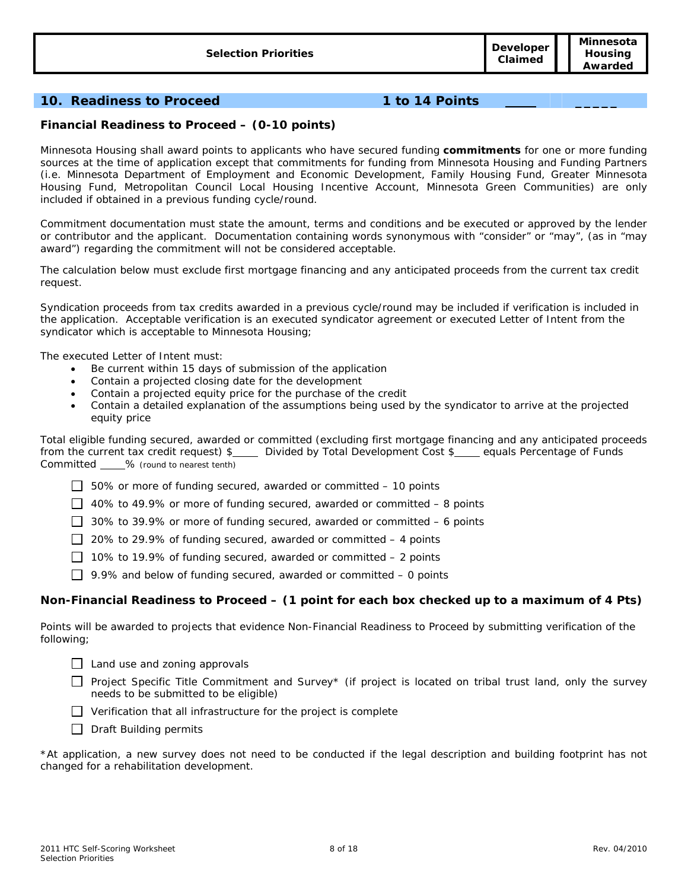# **10. Readiness to Proceed 1 to 14 Points \_\_\_\_\_**

### **Financial Readiness to Proceed – (0-10 points)**

Minnesota Housing shall award points to applicants who have secured funding **commitments** for one or more funding sources at the time of application except that commitments for funding from Minnesota Housing and Funding Partners (i.e. Minnesota Department of Employment and Economic Development, Family Housing Fund, Greater Minnesota Housing Fund, Metropolitan Council Local Housing Incentive Account, Minnesota Green Communities) are only included if obtained in a previous funding cycle/round.

Commitment documentation must state the amount, terms and conditions and be executed or approved by the lender or contributor and the applicant. Documentation containing words synonymous with "consider" or "may", (as in "may award") regarding the commitment will not be considered acceptable.

The calculation below must exclude first mortgage financing and any anticipated proceeds from the current tax credit request.

Syndication proceeds from tax credits awarded in a previous cycle/round may be included if verification is included in the application. Acceptable verification is an executed syndicator agreement or executed Letter of Intent from the syndicator which is acceptable to Minnesota Housing;

The executed Letter of Intent must:

- Be current within 15 days of submission of the application
- Contain a projected closing date for the development
- Contain a projected equity price for the purchase of the credit
- Contain a detailed explanation of the assumptions being used by the syndicator to arrive at the projected equity price

Total eligible funding secured, awarded or committed (excluding first mortgage financing and any anticipated proceeds from the current tax credit request) \$ Divided by Total Development Cost \$ equals Percentage of Funds Committed \_\_\_\_% (round to nearest tenth)

50% or more of funding secured, awarded or committed – *10 points* 

40% to 49.9% or more of funding secured, awarded or committed – *8 points* 

30% to 39.9% or more of funding secured, awarded or committed – *6 points* 

20% to 29.9% of funding secured, awarded or committed – 4 *points* 

10% to 19.9% of funding secured, awarded or committed – 2 *points* 

9.9% and below of funding secured, awarded or committed – *0 points* 

#### **Non-Financial Readiness to Proceed – (1 point for each box checked up to a maximum of 4 Pts)**

Points will be awarded to projects that evidence Non-Financial Readiness to Proceed by submitting verification of the following;

 $\Box$  Land use and zoning approvals

Project Specific Title Commitment and Survey\* (if project is located on tribal trust land, only the survey needs to be submitted to be eligible)

 $\Box$  Verification that all infrastructure for the project is complete

 $\Box$  Draft Building permits

\*At application, a new survey does not need to be conducted if the legal description and building footprint has not changed for a rehabilitation development.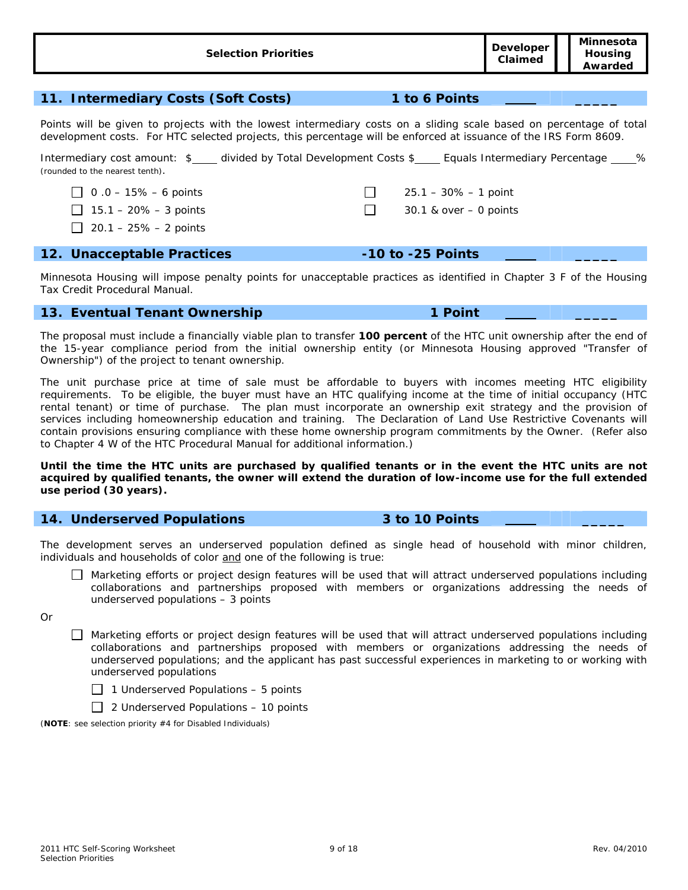Points will be given to projects with the lowest intermediary costs on a sliding scale based on percentage of total development costs. For HTC selected projects, this percentage will be enforced at issuance of the IRS Form 8609.

Intermediary cost amount: \$\_\_\_\_ divided by Total Development Costs \$\_\_\_\_ Equals Intermediary Percentage \_\_\_\_% (rounded to the nearest tenth).

0 .0 – 15% – *6 points* 25.1 – 30% – *1 point*

 15.1 – 20% – *3 points* 30.1 & over – *0 points* 20.1 – 25% – *2 points*

### **12. Unacceptable Practices -10 to -25 Points \_\_\_\_\_**

Minnesota Housing will impose penalty points for unacceptable practices as identified in Chapter 3 F of the Housing Tax Credit Procedural Manual.

### **13. Eventual Tenant Ownership 1 Point 1 Point**

The proposal must include a financially viable plan to transfer **100 percent** of the HTC unit ownership after the end of the 15-year compliance period from the initial ownership entity (or Minnesota Housing approved "Transfer of Ownership") of the project to tenant ownership.

The unit purchase price at time of sale must be affordable to buyers with incomes meeting HTC eligibility requirements. To be eligible, the buyer must have an HTC qualifying income at the time of initial occupancy (HTC rental tenant) or time of purchase. The plan must incorporate an ownership exit strategy and the provision of services including homeownership education and training. The Declaration of Land Use Restrictive Covenants will contain provisions ensuring compliance with these home ownership program commitments by the Owner. (Refer also to Chapter 4 W of the HTC Procedural Manual for additional information.)

**Until the time the HTC units are purchased by qualified tenants or in the event the HTC units are not acquired by qualified tenants, the owner will extend the duration of low-income use for the full extended use period (30 years).** 

### **14. Underserved Populations 3 to 10 Points \_\_\_\_\_**

The development serves an underserved population defined as single head of household with minor children, individuals and households of color and one of the following is true:

 Marketing efforts or project design features will be used that will attract underserved populations including collaborations and partnerships proposed with members or organizations addressing the needs of underserved populations – *3 points* 

Or

 Marketing efforts or project design features will be used that will attract underserved populations including collaborations and partnerships proposed with members or organizations addressing the needs of underserved populations; and the applicant has past successful experiences in marketing to or working with underserved populations



2 Underserved Populations – *10 points*

(**NOTE**: see selection priority #4 for Disabled Individuals)

**Claimed**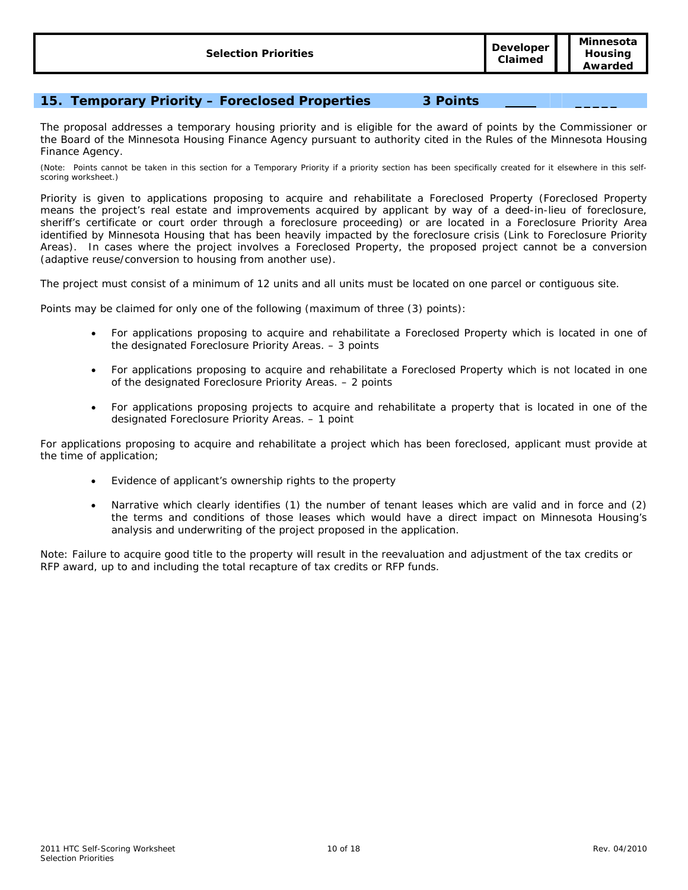# **15. Temporary Priority – Foreclosed Properties 3 Points \_\_\_\_\_**

The proposal addresses a temporary housing priority and is eligible for the award of points by the Commissioner or the Board of the Minnesota Housing Finance Agency pursuant to authority cited in the Rules of the Minnesota Housing Finance Agency.

(Note: Points cannot be taken in this section for a Temporary Priority if a priority section has been specifically created for it elsewhere in this selfscoring worksheet.)

Priority is given to applications proposing to acquire and rehabilitate a Foreclosed Property (Foreclosed Property means the project's real estate and improvements acquired by applicant by way of a deed-in-lieu of foreclosure, sheriff's certificate or court order through a foreclosure proceeding) or are located in a Foreclosure Priority Area identified by Minnesota Housing that has been heavily impacted by the foreclosure crisis (Link to Foreclosure Priority Areas). In cases where the project involves a Foreclosed Property, the proposed project cannot be a conversion (adaptive reuse/conversion to housing from another use).

The project must consist of a minimum of 12 units and all units must be located on one parcel or contiguous site.

Points may be claimed for only one of the following (maximum of three (3) points):

- For applications proposing to acquire and rehabilitate a Foreclosed Property which is located in one of the designated Foreclosure Priority Areas. – 3 points
- For applications proposing to acquire and rehabilitate a Foreclosed Property which is not located in one of the designated Foreclosure Priority Areas. – 2 points
- For applications proposing projects to acquire and rehabilitate a property that is located in one of the designated Foreclosure Priority Areas. – 1 point

For applications proposing to acquire and rehabilitate a project which has been foreclosed, applicant must provide at the time of application;

- Evidence of applicant's ownership rights to the property
- Narrative which clearly identifies (1) the number of tenant leases which are valid and in force and (2) the terms and conditions of those leases which would have a direct impact on Minnesota Housing's analysis and underwriting of the project proposed in the application.

Note: Failure to acquire good title to the property will result in the reevaluation and adjustment of the tax credits or RFP award, up to and including the total recapture of tax credits or RFP funds.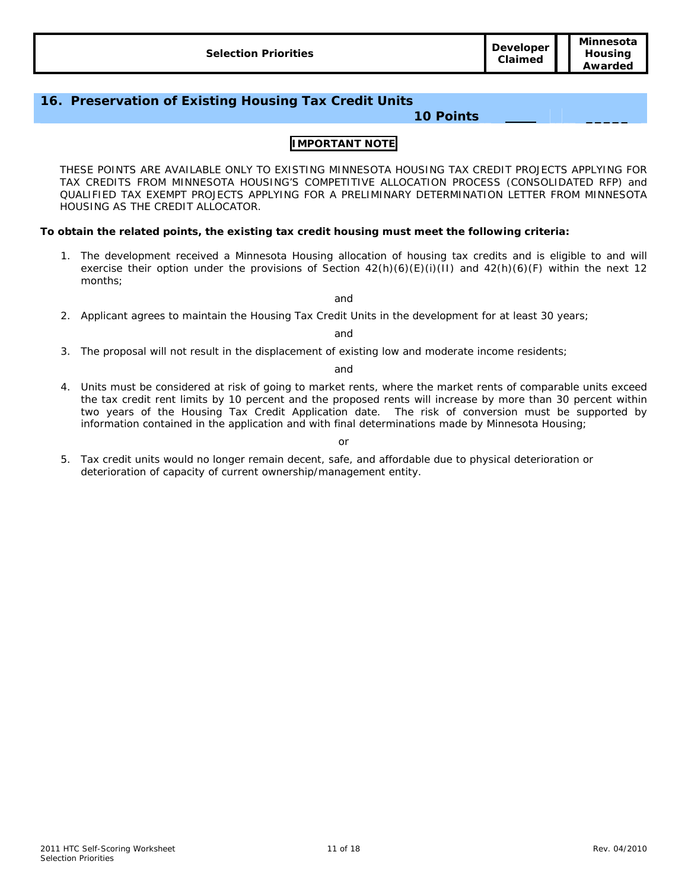| Awarded | <b>Selection Priorities</b> | <b>Developer</b><br>Claimed | Minnesota<br>Housina |
|---------|-----------------------------|-----------------------------|----------------------|
|---------|-----------------------------|-----------------------------|----------------------|

# **16. Preservation of Existing Housing Tax Credit Units**

### **10 Points \_\_\_\_\_**

#### **IMPORTANT NOTE**

THESE POINTS ARE AVAILABLE ONLY TO EXISTING MINNESOTA HOUSING TAX CREDIT PROJECTS APPLYING FOR TAX CREDITS FROM MINNESOTA HOUSING'S COMPETITIVE ALLOCATION PROCESS (CONSOLIDATED RFP) and QUALIFIED TAX EXEMPT PROJECTS APPLYING FOR A PRELIMINARY DETERMINATION LETTER FROM MINNESOTA HOUSING AS THE CREDIT ALLOCATOR.

#### **To obtain the related points, the existing tax credit housing must meet the following criteria:**

1. The development received a Minnesota Housing allocation of housing tax credits and is eligible to and will exercise their option under the provisions of Section  $42(h)(6)(E)(i)(11)$  and  $42(h)(6)(F)$  within the next 12 months;

and

2. Applicant agrees to maintain the Housing Tax Credit Units in the development for at least 30 years;

and

3. The proposal will not result in the displacement of existing low and moderate income residents;

and

4. Units must be considered at risk of going to market rents, where the market rents of comparable units exceed the tax credit rent limits by 10 percent and the proposed rents will increase by more than 30 percent within two years of the Housing Tax Credit Application date. The risk of conversion must be supported by information contained in the application and with final determinations made by Minnesota Housing;

or

5. Tax credit units would no longer remain decent, safe, and affordable due to physical deterioration or deterioration of capacity of current ownership/management entity.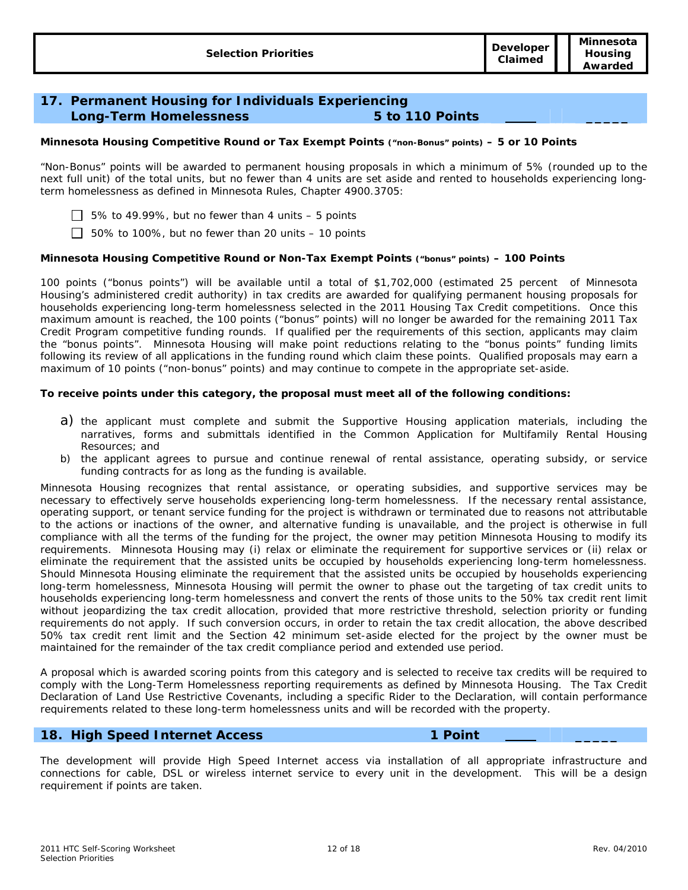# **17. Permanent Housing for Individuals Experiencing Long-Term Homelessness 5 to 110 Points \_\_\_\_\_**

#### **Minnesota Housing Competitive Round or Tax Exempt Points ("non-Bonus" points) –** *5 or 10 Points*

"Non-Bonus" points will be awarded to permanent housing proposals in which a minimum of 5% (rounded up to the next full unit) of the total units, but no fewer than 4 units are set aside and rented to households experiencing longterm homelessness as defined in Minnesota Rules, Chapter 4900.3705:

5% to 49.99%, but no fewer than 4 units – *5 points*

50% to 100%, but no fewer than 20 units – *10 points*

#### **Minnesota Housing Competitive Round or Non-Tax Exempt Points ("bonus" points) –** *100 Points*

100 points ("bonus points") will be available until a total of \$1,702,000 (estimated 25 percent of Minnesota Housing's administered credit authority) in tax credits are awarded for qualifying permanent housing proposals for households experiencing long-term homelessness selected in the 2011 Housing Tax Credit competitions. Once this maximum amount is reached, the 100 points ("bonus" points) will no longer be awarded for the remaining 2011 Tax Credit Program competitive funding rounds. If qualified per the requirements of this section, applicants may claim the "bonus points". Minnesota Housing will make point reductions relating to the "bonus points" funding limits following its review of all applications in the funding round which claim these points. Qualified proposals may earn a maximum of 10 points ("non-bonus" points) and may continue to compete in the appropriate set-aside.

#### **To receive points under this category, the proposal must meet all of the following conditions:**

- a) the applicant must complete and submit the Supportive Housing application materials, including the narratives, forms and submittals identified in the Common Application for Multifamily Rental Housing Resources; and
- b) the applicant agrees to pursue and continue renewal of rental assistance, operating subsidy, or service funding contracts for as long as the funding is available.

Minnesota Housing recognizes that rental assistance, or operating subsidies, and supportive services may be necessary to effectively serve households experiencing long-term homelessness. If the necessary rental assistance, operating support, or tenant service funding for the project is withdrawn or terminated due to reasons not attributable to the actions or inactions of the owner, and alternative funding is unavailable, and the project is otherwise in full compliance with all the terms of the funding for the project, the owner may petition Minnesota Housing to modify its requirements. Minnesota Housing may (i) relax or eliminate the requirement for supportive services or (ii) relax or eliminate the requirement that the assisted units be occupied by households experiencing long-term homelessness. Should Minnesota Housing eliminate the requirement that the assisted units be occupied by households experiencing long-term homelessness, Minnesota Housing will permit the owner to phase out the targeting of tax credit units to households experiencing long-term homelessness and convert the rents of those units to the 50% tax credit rent limit without jeopardizing the tax credit allocation, provided that more restrictive threshold, selection priority or funding requirements do not apply. If such conversion occurs, in order to retain the tax credit allocation, the above described 50% tax credit rent limit and the Section 42 minimum set-aside elected for the project by the owner must be maintained for the remainder of the tax credit compliance period and extended use period.

A proposal which is awarded scoring points from this category and is selected to receive tax credits will be required to comply with the Long-Term Homelessness reporting requirements as defined by Minnesota Housing. The Tax Credit Declaration of Land Use Restrictive Covenants, including a specific Rider to the Declaration, will contain performance requirements related to these long-term homelessness units and will be recorded with the property.

#### **18. High Speed Internet Access 1 Point \_\_\_\_\_**

The development will provide High Speed Internet access via installation of all appropriate infrastructure and connections for cable, DSL or wireless internet service to every unit in the development. This will be a design requirement if points are taken.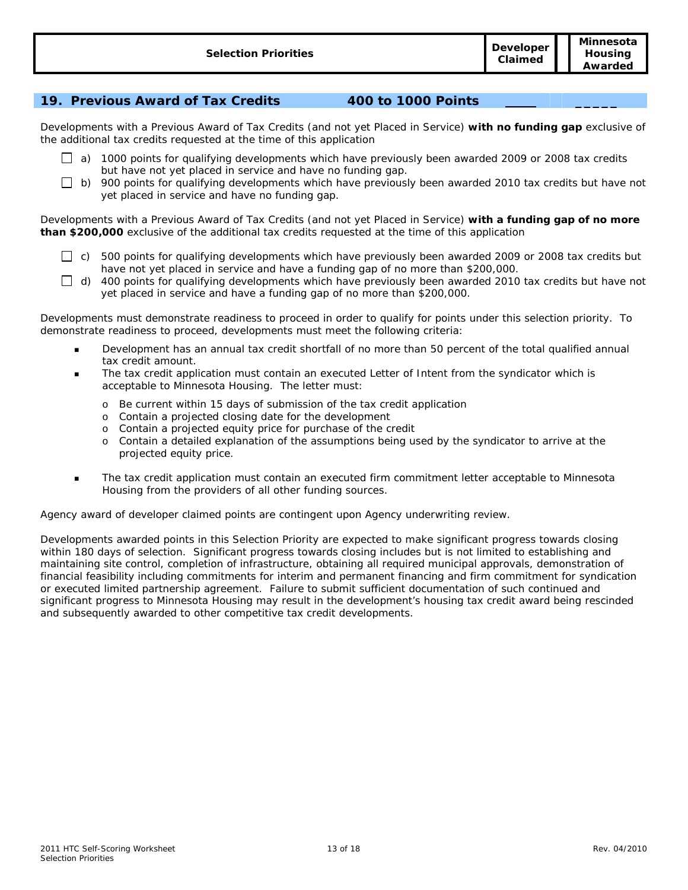# **19. Previous Award of Tax Credits 400 to 1000 Points \_\_\_\_\_**

Developments with a Previous Award of Tax Credits (and not yet Placed in Service) **with no funding gap** exclusive of the additional tax credits requested at the time of this application

- $\Box$  a) 1000 points for qualifying developments which have previously been awarded 2009 or 2008 tax credits but have not yet placed in service and have no funding gap.
- $\Box$  b) 900 points for qualifying developments which have previously been awarded 2010 tax credits but have not yet placed in service and have no funding gap.

Developments with a Previous Award of Tax Credits (and not yet Placed in Service) **with a funding gap of no more than \$200,000** exclusive of the additional tax credits requested at the time of this application

- $\Box$  c) 500 points for qualifying developments which have previously been awarded 2009 or 2008 tax credits but have not yet placed in service and have a funding gap of no more than \$200,000.
- $\Box$  d) 400 points for qualifying developments which have previously been awarded 2010 tax credits but have not yet placed in service and have a funding gap of no more than \$200,000.

Developments must demonstrate readiness to proceed in order to qualify for points under this selection priority. To demonstrate readiness to proceed, developments must meet the following criteria:

- Development has an annual tax credit shortfall of no more than 50 percent of the total qualified annual tax credit amount.
- The tax credit application must contain an executed Letter of Intent from the syndicator which is acceptable to Minnesota Housing. The letter must:
	- o Be current within 15 days of submission of the tax credit application
	- o Contain a projected closing date for the development
	- o Contain a projected equity price for purchase of the credit
	- o Contain a detailed explanation of the assumptions being used by the syndicator to arrive at the projected equity price.
- The tax credit application must contain an executed firm commitment letter acceptable to Minnesota Housing from the providers of all other funding sources.

Agency award of developer claimed points are contingent upon Agency underwriting review.

Developments awarded points in this Selection Priority are expected to make significant progress towards closing within 180 days of selection. Significant progress towards closing includes but is not limited to establishing and maintaining site control, completion of infrastructure, obtaining all required municipal approvals, demonstration of financial feasibility including commitments for interim and permanent financing and firm commitment for syndication or executed limited partnership agreement. Failure to submit sufficient documentation of such continued and significant progress to Minnesota Housing may result in the development's housing tax credit award being rescinded and subsequently awarded to other competitive tax credit developments.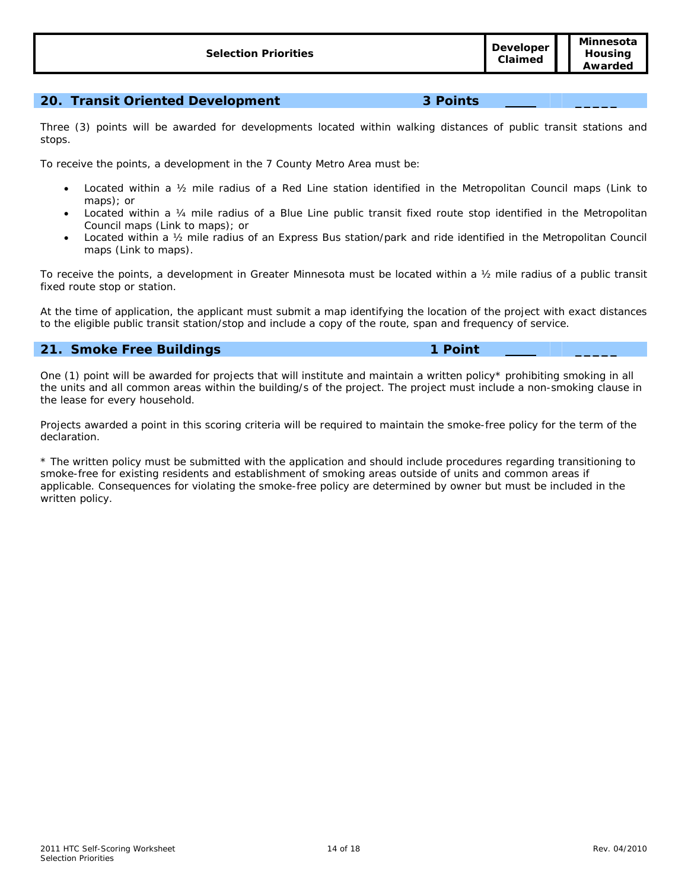# **20. Transit Oriented Development 3 Points \_\_\_\_\_**

Three (3) points will be awarded for developments located within walking distances of public transit stations and stops.

To receive the points, a development in the 7 County Metro Area must be:

- Located within a ½ mile radius of a Red Line station identified in the Metropolitan Council maps (Link to maps); or
- Located within a ¼ mile radius of a Blue Line public transit fixed route stop identified in the Metropolitan Council maps (Link to maps); or
- Located within a ½ mile radius of an Express Bus station/park and ride identified in the Metropolitan Council maps (Link to maps).

To receive the points, a development in Greater Minnesota must be located within a ½ mile radius of a public transit fixed route stop or station.

At the time of application, the applicant must submit a map identifying the location of the project with exact distances to the eligible public transit station/stop and include a copy of the route, span and frequency of service.

# **21. Smoke Free Buildings 1 Point \_\_\_\_\_**

One (1) point will be awarded for projects that will institute and maintain a written policy\* prohibiting smoking in all the units and all common areas within the building/s of the project. The project must include a non-smoking clause in the lease for every household.

Projects awarded a point in this scoring criteria will be required to maintain the smoke-free policy for the term of the declaration.

\* The written policy must be submitted with the application and should include procedures regarding transitioning to smoke-free for existing residents and establishment of smoking areas outside of units and common areas if applicable. Consequences for violating the smoke-free policy are determined by owner but must be included in the written policy.

**Claimed**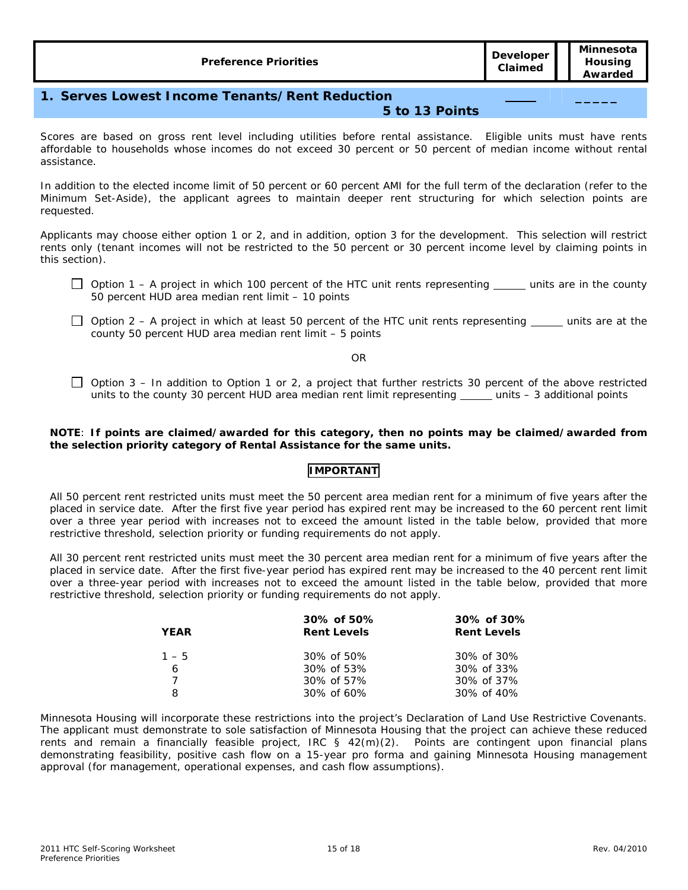**\_\_\_\_\_** 

# **1. Serves Lowest Income Tenants/Rent Reduction**

#### **5 to 13 Points**

Scores are based on gross rent level including utilities before rental assistance. Eligible units must have rents affordable to households whose incomes do not exceed 30 percent or 50 percent of median income without rental assistance.

In addition to the elected income limit of 50 percent or 60 percent AMI for the full term of the declaration (refer to the Minimum Set-Aside), the applicant agrees to maintain deeper rent structuring for which selection points are requested.

Applicants may choose either option 1 or 2, and in addition, option 3 for the development. This selection will restrict rents only (tenant incomes will not be restricted to the 50 percent or 30 percent income level by claiming points in this section).

- $\Box$  Option 1 A project in which 100 percent of the HTC unit rents representing  $\Box$  units are in the county 50 percent HUD area median rent limit – *10 points*
- $\Box$  Option 2 A project in which at least 50 percent of the HTC unit rents representing  $\Box$  units are at the county 50 percent HUD area median rent limit – *5 points*

OR

 $\Box$  Option 3 – In addition to Option 1 or 2, a project that further restricts 30 percent of the above restricted units to the county 30 percent HUD area median rent limit representing \_\_\_\_\_ units - 3 additional points

#### **NOTE**: **If points are claimed/awarded for this category, then no points may be claimed/awarded from the selection priority category of Rental Assistance for the same units.**

### **IMPORTANT**

All 50 percent rent restricted units must meet the 50 percent area median rent for a minimum of five years after the placed in service date. After the first five year period has expired rent may be increased to the 60 percent rent limit over a three year period with increases not to exceed the amount listed in the table below, provided that more restrictive threshold, selection priority or funding requirements do not apply.

All 30 percent rent restricted units must meet the 30 percent area median rent for a minimum of five years after the placed in service date. After the first five-year period has expired rent may be increased to the 40 percent rent limit over a three-year period with increases not to exceed the amount listed in the table below, provided that more restrictive threshold, selection priority or funding requirements do not apply.

| <b>YEAR</b> | 30% of 50%<br><b>Rent Levels</b> | 30% of 30%<br><b>Rent Levels</b> |
|-------------|----------------------------------|----------------------------------|
| $1 - 5$     | $30\% \text{ of } 50\%$          | 30% of 30%                       |
| 6           | $30\% \text{ of } 53\%$          | 30% of 33%                       |
|             | $30\% \text{ of } 57\%$          | 30% of 37%                       |
| 8           | 30% of 60%                       | 30% of 40%                       |

Minnesota Housing will incorporate these restrictions into the project's Declaration of Land Use Restrictive Covenants. The applicant must demonstrate to sole satisfaction of Minnesota Housing that the project can achieve these reduced rents and remain a financially feasible project, IRC § 42(m)(2). Points are contingent upon financial plans demonstrating feasibility, positive cash flow on a 15-year pro forma and gaining Minnesota Housing management approval (for management, operational expenses, and cash flow assumptions).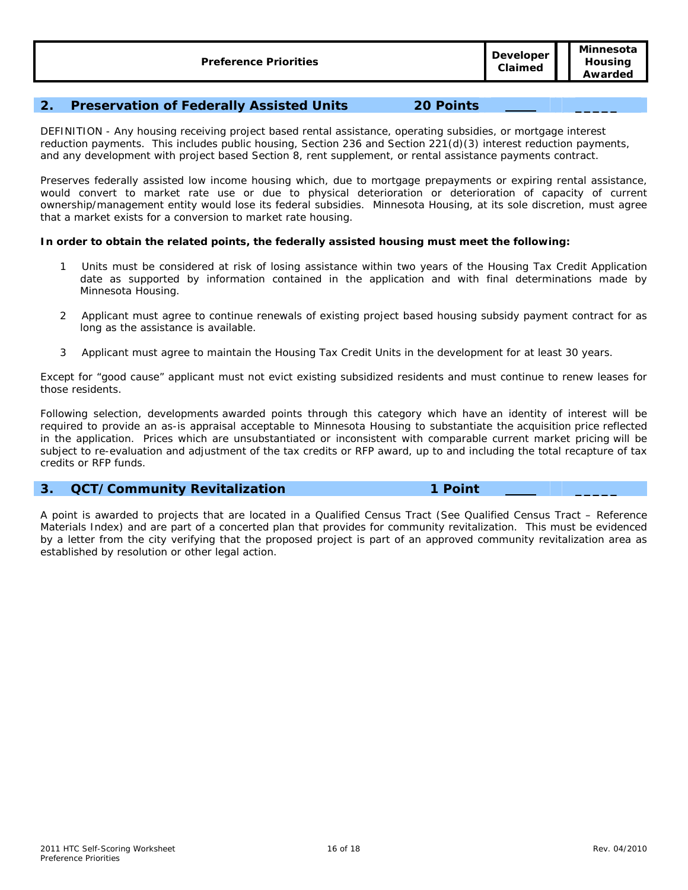# **2. Preservation of Federally Assisted Units 20 Points \_\_\_\_\_**

DEFINITION - Any housing receiving project based rental assistance, operating subsidies, or mortgage interest reduction payments. This includes public housing, Section 236 and Section 221(d)(3) interest reduction payments, and any development with project based Section 8, rent supplement, or rental assistance payments contract.

Preserves federally assisted low income housing which, due to mortgage prepayments or expiring rental assistance, would convert to market rate use or due to physical deterioration or deterioration of capacity of current ownership/management entity would lose its federal subsidies. Minnesota Housing, at its sole discretion, must agree that a market exists for a conversion to market rate housing.

#### **In order to obtain the related points, the federally assisted housing must meet the following:**

- 1 Units must be considered at risk of losing assistance within two years of the Housing Tax Credit Application date as supported by information contained in the application and with final determinations made by Minnesota Housing.
- 2 Applicant must agree to continue renewals of existing project based housing subsidy payment contract for as long as the assistance is available.
- 3 Applicant must agree to maintain the Housing Tax Credit Units in the development for at least 30 years.

Except for "good cause" applicant must not evict existing subsidized residents and must continue to renew leases for those residents.

Following selection, developments awarded points through this category which have an identity of interest will be required to provide an as-is appraisal acceptable to Minnesota Housing to substantiate the acquisition price reflected in the application. Prices which are unsubstantiated or inconsistent with comparable current market pricing will be subject to re-evaluation and adjustment of the tax credits or RFP award, up to and including the total recapture of tax credits or RFP funds.

#### **3. QCT/Community Revitalization 1 Point \_\_\_\_\_**

A point is awarded to projects that are located in a Qualified Census Tract (See Qualified Census Tract – Reference Materials Index) and are part of a concerted plan that provides for community revitalization. This must be evidenced by a letter from the city verifying that the proposed project is part of an approved community revitalization area as established by resolution or other legal action.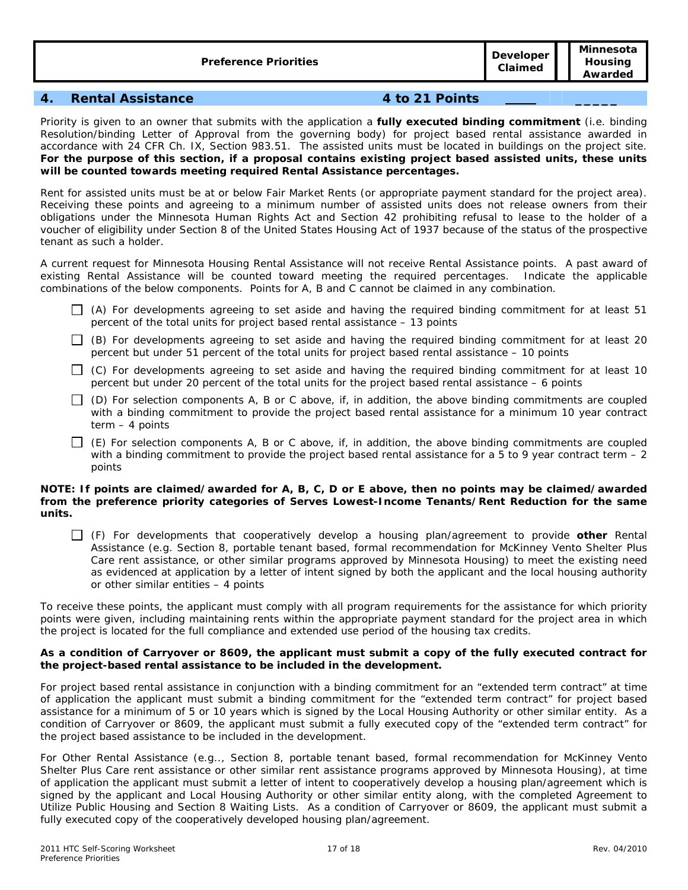| <b>Preference Priorities</b> | Developer         |
|------------------------------|-------------------|
|                              | <b>Claims and</b> |

**Claimed** 

# **4. Rental Assistance 4 to 21 Points \_\_\_\_\_**

Priority is given to an owner that submits with the application a **fully executed binding commitment** (i.e. binding Resolution/binding Letter of Approval from the governing body) for project based rental assistance awarded in accordance with 24 CFR Ch. IX, Section 983.51. The assisted units must be located in buildings on the project site. **For the purpose of this section, if a proposal contains existing project based assisted units, these units will be counted towards meeting required Rental Assistance percentages.** 

Rent for assisted units must be at or below Fair Market Rents (or appropriate payment standard for the project area). Receiving these points and agreeing to a minimum number of assisted units does not release owners from their obligations under the Minnesota Human Rights Act and Section 42 prohibiting refusal to lease to the holder of a voucher of eligibility under Section 8 of the United States Housing Act of 1937 because of the status of the prospective tenant as such a holder.

A current request for Minnesota Housing Rental Assistance will not receive Rental Assistance points. A past award of existing Rental Assistance will be counted toward meeting the required percentages. Indicate the applicable combinations of the below components. Points for A, B and C cannot be claimed in any combination.

- $\Box$  (A) For developments agreeing to set aside and having the required binding commitment for at least 51 percent of the total units for project based rental assistance – *13 points*
- $\Box$  (B) For developments agreeing to set aside and having the required binding commitment for at least 20 percent but under 51 percent of the total units for project based rental assistance – *10 points*
- $\Box$  (C) For developments agreeing to set aside and having the required binding commitment for at least 10 percent but under 20 percent of the total units for the project based rental assistance – *6 points*
- $\Box$  (D) For selection components A, B or C above, if, in addition, the above binding commitments are coupled with a binding commitment to provide the project based rental assistance for a minimum 10 year contract term – *4 points*
- $\Box$  (E) For selection components A, B or C above, if, in addition, the above binding commitments are coupled with a binding commitment to provide the project based rental assistance for a 5 to 9 year contract term - 2 *points*

#### **NOTE: If points are claimed/awarded for A, B, C, D or E above, then no points may be claimed/awarded from the preference priority categories of Serves Lowest-Income Tenants/Rent Reduction for the same units.**

 (F) For developments that cooperatively develop a housing plan/agreement to provide **other** Rental Assistance (e.g. Section 8, portable tenant based, formal recommendation for McKinney Vento Shelter Plus Care rent assistance, or other similar programs approved by Minnesota Housing) to meet the existing need as evidenced at application by a letter of intent signed by both the applicant and the local housing authority or other similar entities – *4 points*

To receive these points, the applicant must comply with all program requirements for the assistance for which priority points were given, including maintaining rents within the appropriate payment standard for the project area in which the project is located for the full compliance and extended use period of the housing tax credits.

#### **As a condition of Carryover or 8609, the applicant must submit a copy of the fully executed contract for the project-based rental assistance to be included in the development.**

For project based rental assistance in conjunction with a binding commitment for an "extended term contract" at time of application the applicant must submit a binding commitment for the "extended term contract" for project based assistance for a minimum of 5 or 10 years which is signed by the Local Housing Authority or other similar entity. As a condition of Carryover or 8609, the applicant must submit a fully executed copy of the "extended term contract" for the project based assistance to be included in the development.

For Other Rental Assistance (e.g.., Section 8, portable tenant based, formal recommendation for McKinney Vento Shelter Plus Care rent assistance or other similar rent assistance programs approved by Minnesota Housing), at time of application the applicant must submit a letter of intent to cooperatively develop a housing plan/agreement which is signed by the applicant and Local Housing Authority or other similar entity along, with the completed Agreement to Utilize Public Housing and Section 8 Waiting Lists. As a condition of Carryover or 8609, the applicant must submit a fully executed copy of the cooperatively developed housing plan/agreement.